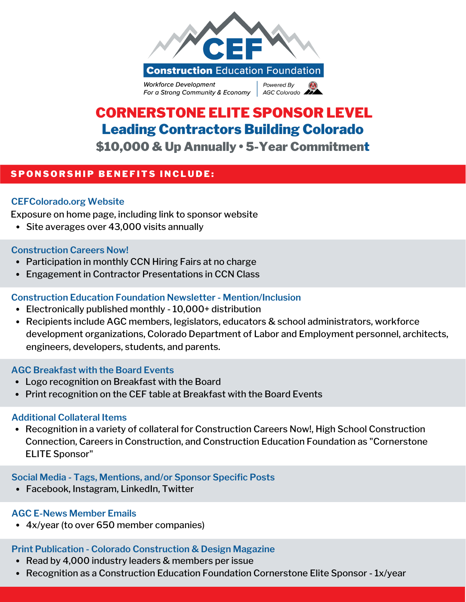

# CORNERSTONE ELITE SPONSOR LEVEL Leading Contractors Building Colorado \$10,000 & Up Annually • 5-Year Commitment

## SPONSORSHIP BENEFITS INCLUDE:

### **CEFColorado.org Website**

Exposure on home page, including link to sponsor website

• Site averages over 43,000 visits annually

#### **Construction Careers Now!**

- Participation in monthly CCN Hiring Fairs at no charge
- Engagement in Contractor Presentations in CCN Class

#### **Construction Education Foundation Newsletter - Mention/Inclusion**

- Electronically published monthly 10,000+ distribution
- Recipients include AGC members, legislators, educators & school administrators, workforce development organizations, Colorado Department of Labor and Employment personnel, architects, engineers, developers, students, and parents.

#### **AGC Breakfast with the Board Events**

- Logo recognition on Breakfast with the Board
- Print recognition on the CEF table at Breakfast with the Board Events

#### **Additional Collateral Items**

• Recognition in a variety of collateral for Construction Careers Now!, High School Construction Connection, Careers in Construction, and Construction Education Foundation as "Cornerstone ELITE Sponsor"

#### **Social Media - Tags, Mentions, and/or Sponsor Specific Posts**

Facebook, Instagram, LinkedIn, Twitter

#### **AGC E-News Member Emails**

4x/year (to over 650 member companies)

## **Print Publication - Colorado Construction & Design Magazine**

- Read by 4,000 industry leaders & members per issue
- Recognition as a Construction Education Foundation Cornerstone Elite Sponsor 1x/year